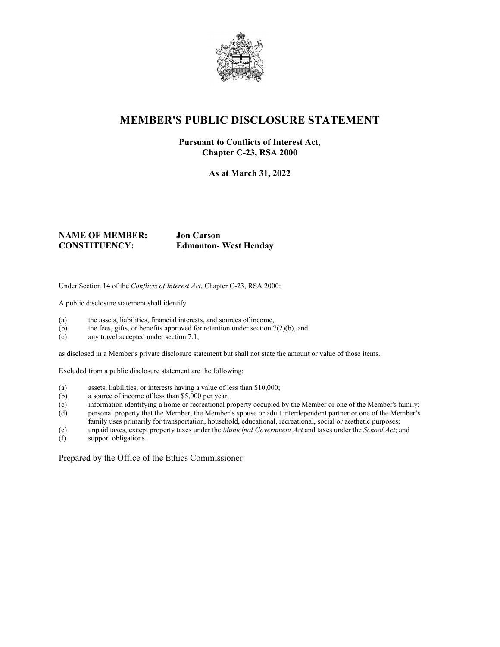

## **MEMBER'S PUBLIC DISCLOSURE STATEMENT**

#### **Pursuant to Conflicts of Interest Act, Chapter C-23, RSA 2000**

**As at March 31, 2022**

#### **NAME OF MEMBER: Jon Carson CONSTITUENCY: Edmonton- West Henday**

Under Section 14 of the *Conflicts of Interest Act*, Chapter C-23, RSA 2000:

A public disclosure statement shall identify

- (a) the assets, liabilities, financial interests, and sources of income,
- (b) the fees, gifts, or benefits approved for retention under section  $7(2)(b)$ , and
- (c) any travel accepted under section 7.1,

as disclosed in a Member's private disclosure statement but shall not state the amount or value of those items.

Excluded from a public disclosure statement are the following:

- (a) assets, liabilities, or interests having a value of less than \$10,000;
- (b) a source of income of less than \$5,000 per year;
- (c) information identifying a home or recreational property occupied by the Member or one of the Member's family;
- (d) personal property that the Member, the Member's spouse or adult interdependent partner or one of the Member's family uses primarily for transportation, household, educational, recreational, social or aesthetic purposes;
- (e) unpaid taxes, except property taxes under the *Municipal Government Act* and taxes under the *School Act*; and
- support obligations.

Prepared by the Office of the Ethics Commissioner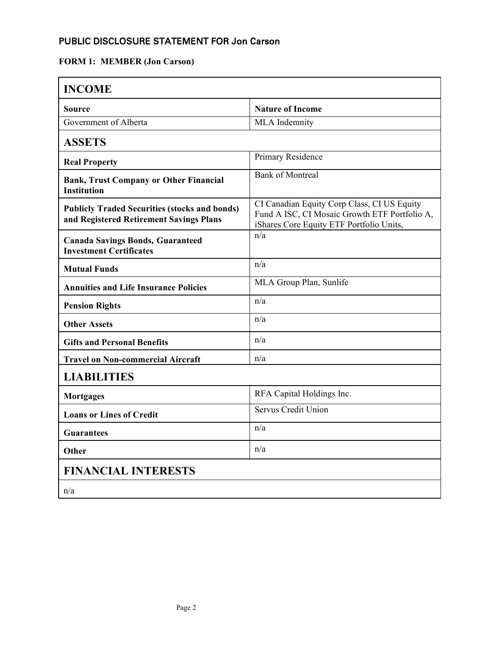## PUBLIC DISCLOSURE STATEMENT FOR Jon Carson

## **FORM 1: MEMBER (Jon Carson)**

| <b>INCOME</b>                                                                                   |                                                                                                                                          |
|-------------------------------------------------------------------------------------------------|------------------------------------------------------------------------------------------------------------------------------------------|
| <b>Source</b>                                                                                   | <b>Nature of Income</b>                                                                                                                  |
| Government of Alberta                                                                           | MLA Indemnity                                                                                                                            |
| <b>ASSETS</b>                                                                                   |                                                                                                                                          |
| <b>Real Property</b>                                                                            | Primary Residence                                                                                                                        |
| <b>Bank, Trust Company or Other Financial</b><br><b>Institution</b>                             | <b>Bank of Montreal</b>                                                                                                                  |
| <b>Publicly Traded Securities (stocks and bonds)</b><br>and Registered Retirement Savings Plans | CI Canadian Equity Corp Class, CI US Equity<br>Fund A ISC, CI Mosaic Growth ETF Portfolio A,<br>iShares Core Equity ETF Portfolio Units, |
| <b>Canada Savings Bonds, Guaranteed</b><br><b>Investment Certificates</b>                       | n/a                                                                                                                                      |
| <b>Mutual Funds</b>                                                                             | n/a                                                                                                                                      |
| <b>Annuities and Life Insurance Policies</b>                                                    | MLA Group Plan, Sunlife                                                                                                                  |
| <b>Pension Rights</b>                                                                           | n/a                                                                                                                                      |
| <b>Other Assets</b>                                                                             | n/a                                                                                                                                      |
| <b>Gifts and Personal Benefits</b>                                                              | n/a                                                                                                                                      |
| <b>Travel on Non-commercial Aircraft</b>                                                        | n/a                                                                                                                                      |
| <b>LIABILITIES</b>                                                                              |                                                                                                                                          |
| <b>Mortgages</b>                                                                                | RFA Capital Holdings Inc.                                                                                                                |
| <b>Loans or Lines of Credit</b>                                                                 | Servus Credit Union                                                                                                                      |
| <b>Guarantees</b>                                                                               | n/a                                                                                                                                      |
| Other                                                                                           | n/a                                                                                                                                      |
| <b>FINANCIAL INTERESTS</b>                                                                      |                                                                                                                                          |
| n/a                                                                                             |                                                                                                                                          |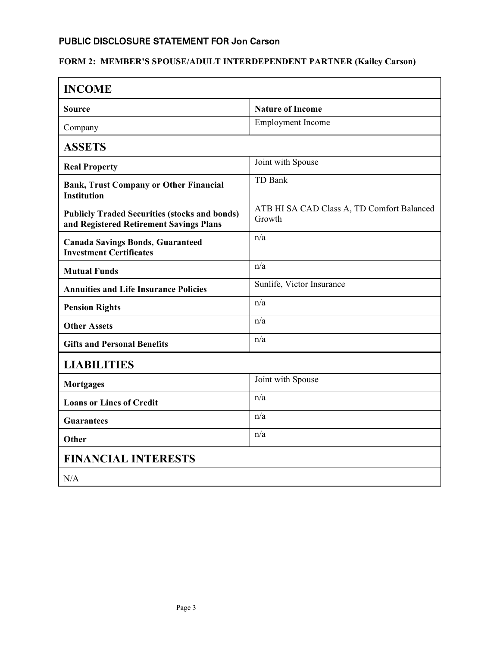## PUBLIC DISCLOSURE STATEMENT FOR Jon Carson

## **FORM 2: MEMBER'S SPOUSE/ADULT INTERDEPENDENT PARTNER (Kailey Carson)**

| <b>INCOME</b>                                                                                   |                                                      |  |
|-------------------------------------------------------------------------------------------------|------------------------------------------------------|--|
| Source                                                                                          | <b>Nature of Income</b>                              |  |
| Company                                                                                         | <b>Employment Income</b>                             |  |
| <b>ASSETS</b>                                                                                   |                                                      |  |
| <b>Real Property</b>                                                                            | Joint with Spouse                                    |  |
| <b>Bank, Trust Company or Other Financial</b><br><b>Institution</b>                             | TD Bank                                              |  |
| <b>Publicly Traded Securities (stocks and bonds)</b><br>and Registered Retirement Savings Plans | ATB HI SA CAD Class A, TD Comfort Balanced<br>Growth |  |
| <b>Canada Savings Bonds, Guaranteed</b><br><b>Investment Certificates</b>                       | n/a                                                  |  |
| <b>Mutual Funds</b>                                                                             | n/a                                                  |  |
| <b>Annuities and Life Insurance Policies</b>                                                    | Sunlife, Victor Insurance                            |  |
| <b>Pension Rights</b>                                                                           | n/a                                                  |  |
| <b>Other Assets</b>                                                                             | n/a                                                  |  |
| <b>Gifts and Personal Benefits</b>                                                              | n/a                                                  |  |
| <b>LIABILITIES</b>                                                                              |                                                      |  |
| <b>Mortgages</b>                                                                                | Joint with Spouse                                    |  |
| <b>Loans or Lines of Credit</b>                                                                 | n/a                                                  |  |
| <b>Guarantees</b>                                                                               | n/a                                                  |  |
| Other                                                                                           | n/a                                                  |  |
| <b>FINANCIAL INTERESTS</b>                                                                      |                                                      |  |
| N/A                                                                                             |                                                      |  |